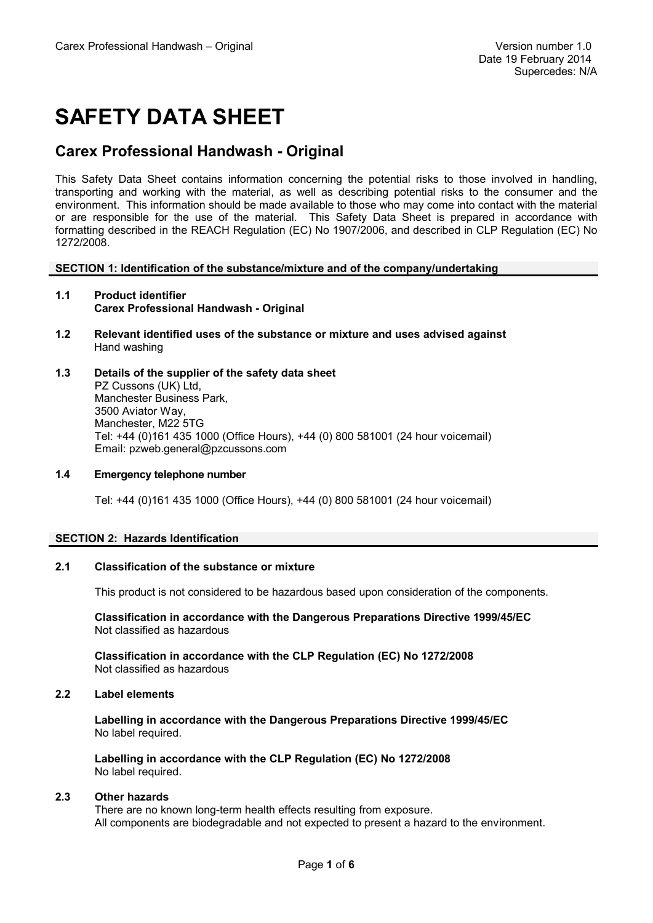# **SAFETY DATA SHEET**

### **Carex Professional Handwash - Original**

This Safety Data Sheet contains information concerning the potential risks to those involved in handling, transporting and working with the material, as well as describing potential risks to the consumer and the environment. This information should be made available to those who may come into contact with the material or are responsible for the use of the material. This Safety Data Sheet is prepared in accordance with formatting described in the REACH Regulation (EC) No 1907/2006, and described in CLP Regulation (EC) No 1272/2008.

#### **SECTION 1: Identification of the substance/mixture and of the company/undertaking**

- **1.1 Product identifier Carex Professional Handwash - Original**
- **1.2 Relevant identified uses of the substance or mixture and uses advised against** Hand washing
- **1.3 Details of the supplier of the safety data sheet** PZ Cussons (UK) Ltd, Manchester Business Park, 3500 Aviator Way, Manchester, M22 5TG Tel: +44 (0)161 435 1000 (Office Hours), +44 (0) 800 581001 (24 hour voicemail) Email: pzweb.general@pzcussons.com

#### **1.4 Emergency telephone number**

Tel: +44 (0)161 435 1000 (Office Hours), +44 (0) 800 581001 (24 hour voicemail)

#### **SECTION 2: Hazards Identification**

#### **2.1 Classification of the substance or mixture**

This product is not considered to be hazardous based upon consideration of the components.

**Classification in accordance with the Dangerous Preparations Directive 1999/45/EC** Not classified as hazardous

**Classification in accordance with the CLP Regulation (EC) No 1272/2008** Not classified as hazardous

#### **2.2 Label elements**

**Labelling in accordance with the Dangerous Preparations Directive 1999/45/EC**  No label required.

**Labelling in accordance with the CLP Regulation (EC) No 1272/2008** No label required.

#### **2.3 Other hazards**

There are no known long-term health effects resulting from exposure. All components are biodegradable and not expected to present a hazard to the environment.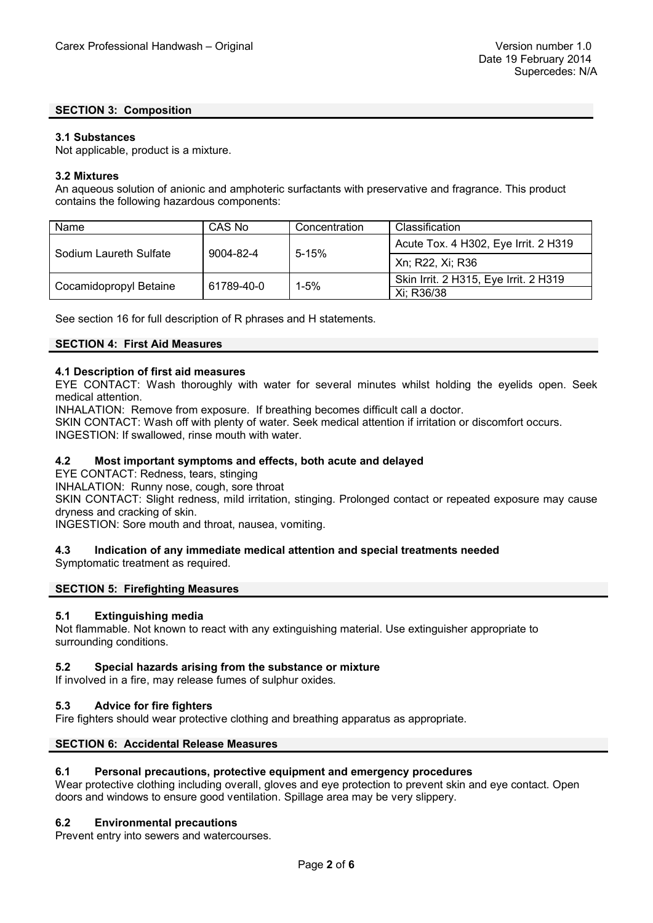#### **SECTION 3: Composition**

#### **3.1 Substances**

Not applicable, product is a mixture.

#### **3.2 Mixtures**

An aqueous solution of anionic and amphoteric surfactants with preservative and fragrance. This product contains the following hazardous components:

| Name                   | CAS No     | Concentration | Classification                        |
|------------------------|------------|---------------|---------------------------------------|
| Sodium Laureth Sulfate | 9004-82-4  | $5 - 15%$     | Acute Tox. 4 H302, Eye Irrit. 2 H319  |
|                        |            |               | Xn; R22, Xi; R36                      |
| Cocamidopropyl Betaine | 61789-40-0 | $1 - 5%$      | Skin Irrit. 2 H315, Eye Irrit. 2 H319 |
|                        |            |               | Xi: R36/38                            |

See section 16 for full description of R phrases and H statements.

#### **SECTION 4: First Aid Measures**

#### **4.1 Description of first aid measures**

EYE CONTACT: Wash thoroughly with water for several minutes whilst holding the eyelids open. Seek medical attention.

INHALATION: Remove from exposure. If breathing becomes difficult call a doctor.

SKIN CONTACT: Wash off with plenty of water. Seek medical attention if irritation or discomfort occurs. INGESTION: If swallowed, rinse mouth with water.

#### **4.2 Most important symptoms and effects, both acute and delayed**

EYE CONTACT: Redness, tears, stinging

INHALATION: Runny nose, cough, sore throat

SKIN CONTACT: Slight redness, mild irritation, stinging. Prolonged contact or repeated exposure may cause dryness and cracking of skin.

INGESTION: Sore mouth and throat, nausea, vomiting.

#### **4.3 Indication of any immediate medical attention and special treatments needed**

Symptomatic treatment as required.

#### **SECTION 5: Firefighting Measures**

#### **5.1 Extinguishing media**

Not flammable. Not known to react with any extinguishing material. Use extinguisher appropriate to surrounding conditions.

#### **5.2 Special hazards arising from the substance or mixture**

If involved in a fire, may release fumes of sulphur oxides.

#### **5.3 Advice for fire fighters**

Fire fighters should wear protective clothing and breathing apparatus as appropriate.

#### **SECTION 6: Accidental Release Measures**

#### **6.1 Personal precautions, protective equipment and emergency procedures**

Wear protective clothing including overall, gloves and eye protection to prevent skin and eye contact. Open doors and windows to ensure good ventilation. Spillage area may be very slippery.

#### **6.2 Environmental precautions**

Prevent entry into sewers and watercourses.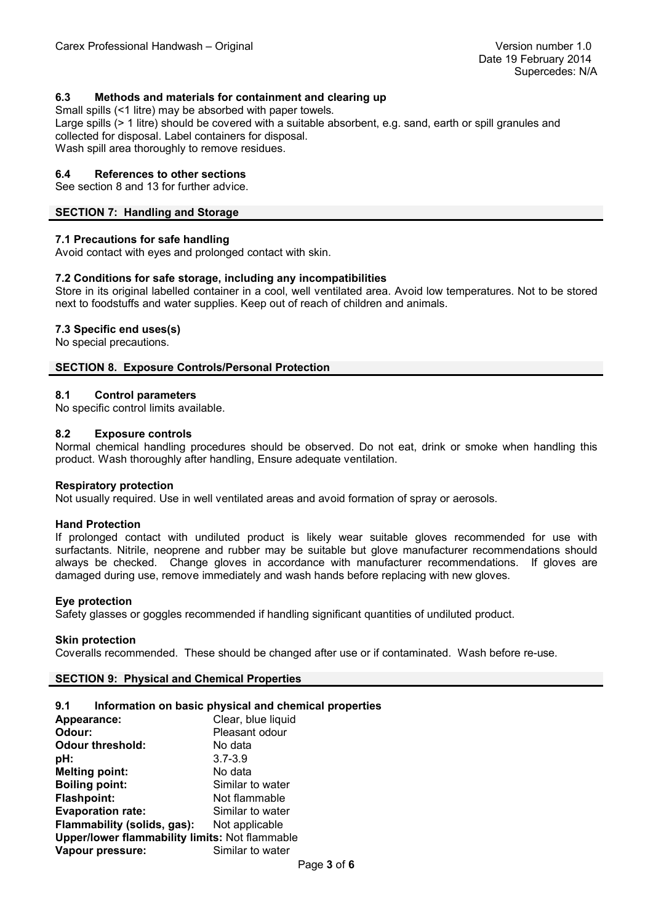#### **6.3 Methods and materials for containment and clearing up**

Small spills (<1 litre) may be absorbed with paper towels.

Large spills (> 1 litre) should be covered with a suitable absorbent, e.g. sand, earth or spill granules and collected for disposal. Label containers for disposal. Wash spill area thoroughly to remove residues.

#### **6.4 References to other sections**

#### See section 8 and 13 for further advice.

#### **SECTION 7: Handling and Storage**

#### **7.1 Precautions for safe handling**

Avoid contact with eyes and prolonged contact with skin.

#### **7.2 Conditions for safe storage, including any incompatibilities**

Store in its original labelled container in a cool, well ventilated area. Avoid low temperatures. Not to be stored next to foodstuffs and water supplies. Keep out of reach of children and animals.

#### **7.3 Specific end uses(s)**

No special precautions.

#### **SECTION 8. Exposure Controls/Personal Protection**

#### **8.1 Control parameters**

No specific control limits available.

#### **8.2 Exposure controls**

Normal chemical handling procedures should be observed. Do not eat, drink or smoke when handling this product. Wash thoroughly after handling, Ensure adequate ventilation.

#### **Respiratory protection**

Not usually required. Use in well ventilated areas and avoid formation of spray or aerosols.

#### **Hand Protection**

If prolonged contact with undiluted product is likely wear suitable gloves recommended for use with surfactants. Nitrile, neoprene and rubber may be suitable but glove manufacturer recommendations should always be checked. Change gloves in accordance with manufacturer recommendations. If gloves are damaged during use, remove immediately and wash hands before replacing with new gloves.

#### **Eye protection**

Safety glasses or goggles recommended if handling significant quantities of undiluted product.

#### **Skin protection**

Coveralls recommended. These should be changed after use or if contaminated. Wash before re-use.

#### **SECTION 9: Physical and Chemical Properties**

#### **9.1 Information on basic physical and chemical properties**

| Appearance:                                           | Clear, blue liquid |  |
|-------------------------------------------------------|--------------------|--|
| Odour:                                                | Pleasant odour     |  |
| <b>Odour threshold:</b>                               | No data            |  |
| pH:                                                   | $3.7 - 3.9$        |  |
| <b>Melting point:</b>                                 | No data            |  |
| <b>Boiling point:</b>                                 | Similar to water   |  |
| <b>Flashpoint:</b>                                    | Not flammable      |  |
| <b>Evaporation rate:</b>                              | Similar to water   |  |
| Flammability (solids, gas):                           | Not applicable     |  |
| <b>Upper/lower flammability limits: Not flammable</b> |                    |  |
| Vapour pressure:                                      | Similar to water   |  |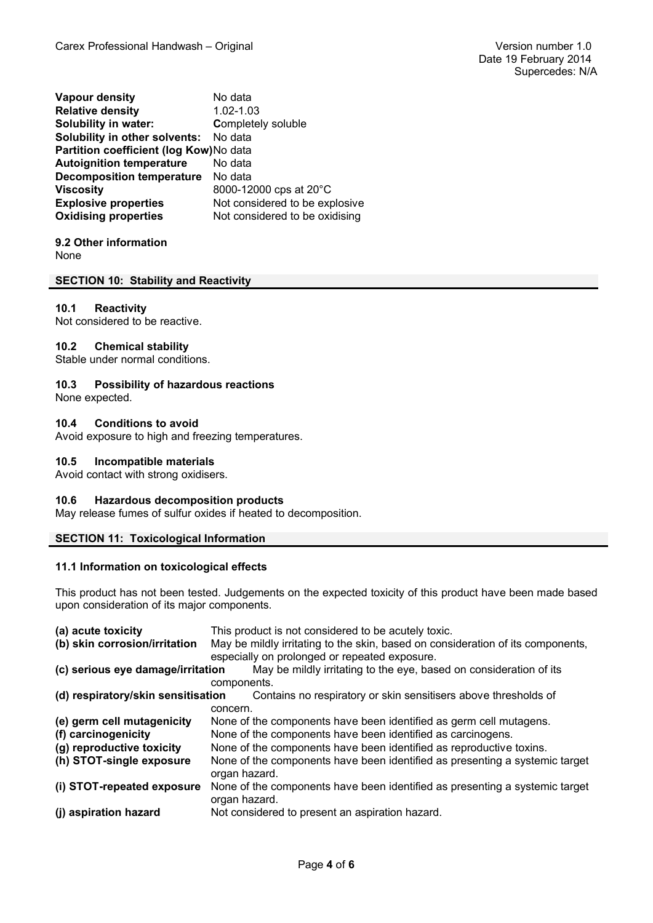**Vapour density** No data **Relative density** 1.02-1.03 **Solubility in water: Completely soluble Solubility in other solvents:** No data **Partition coefficient (log Kow)**No data **Autoignition temperature** No data **Decomposition temperature** No data **Viscosity** 8000-12000 cps at 20°C **Explosive properties** Not considered to be explosive **Oxidising properties** Not considered to be oxidising

**9.2 Other information** None

#### **SECTION 10: Stability and Reactivity**

#### **10.1 Reactivity**

Not considered to be reactive.

#### **10.2 Chemical stability**

Stable under normal conditions.

#### **10.3 Possibility of hazardous reactions**

None expected.

#### **10.4 Conditions to avoid**

Avoid exposure to high and freezing temperatures.

#### **10.5 Incompatible materials**

Avoid contact with strong oxidisers.

#### **10.6 Hazardous decomposition products**

May release fumes of sulfur oxides if heated to decomposition.

#### **SECTION 11: Toxicological Information**

#### **11.1 Information on toxicological effects**

This product has not been tested. Judgements on the expected toxicity of this product have been made based upon consideration of its major components.

| (a) acute toxicity                                                                                    | This product is not considered to be acutely toxic.                                          |  |  |
|-------------------------------------------------------------------------------------------------------|----------------------------------------------------------------------------------------------|--|--|
| (b) skin corrosion/irritation                                                                         | May be mildly irritating to the skin, based on consideration of its components,              |  |  |
| especially on prolonged or repeated exposure.                                                         |                                                                                              |  |  |
| (c) serious eye damage/irritation                                                                     | May be mildly irritating to the eye, based on consideration of its                           |  |  |
|                                                                                                       | components.                                                                                  |  |  |
| (d) respiratory/skin sensitisation<br>Contains no respiratory or skin sensitisers above thresholds of |                                                                                              |  |  |
|                                                                                                       | concern.                                                                                     |  |  |
| (e) germ cell mutagenicity                                                                            | None of the components have been identified as germ cell mutagens.                           |  |  |
| (f) carcinogenicity                                                                                   | None of the components have been identified as carcinogens.                                  |  |  |
| (g) reproductive toxicity                                                                             | None of the components have been identified as reproductive toxins.                          |  |  |
| (h) STOT-single exposure                                                                              | None of the components have been identified as presenting a systemic target<br>organ hazard. |  |  |
| (i) STOT-repeated exposure                                                                            | None of the components have been identified as presenting a systemic target<br>organ hazard. |  |  |
| (j) aspiration hazard                                                                                 | Not considered to present an aspiration hazard.                                              |  |  |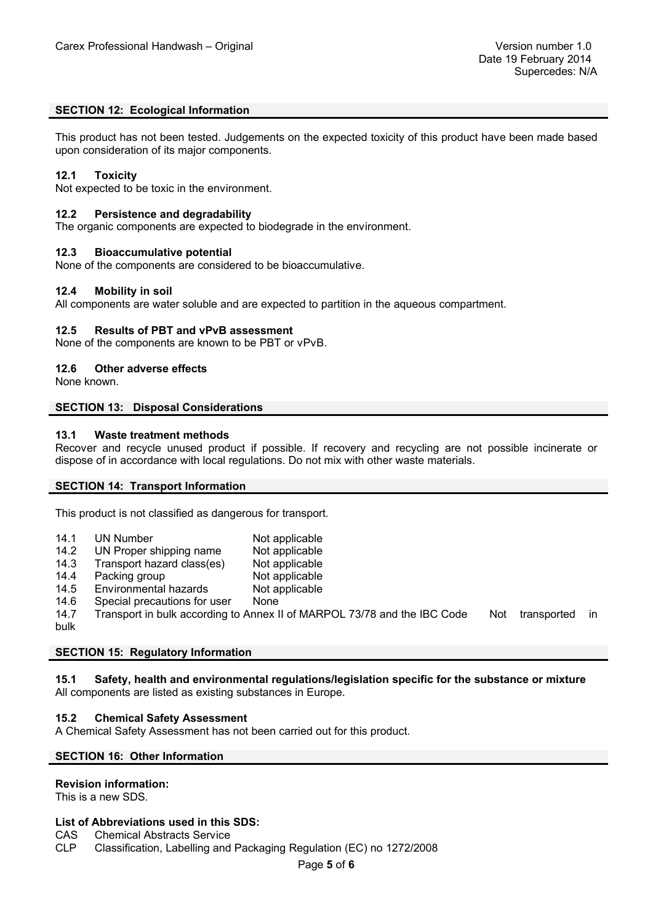#### **SECTION 12: Ecological Information**

This product has not been tested. Judgements on the expected toxicity of this product have been made based upon consideration of its major components.

#### **12.1 Toxicity**

Not expected to be toxic in the environment.

#### **12.2 Persistence and degradability**

The organic components are expected to biodegrade in the environment.

#### **12.3 Bioaccumulative potential**

None of the components are considered to be bioaccumulative.

#### **12.4 Mobility in soil**

All components are water soluble and are expected to partition in the aqueous compartment.

#### **12.5 Results of PBT and vPvB assessment**

None of the components are known to be PBT or vPvB.

#### **12.6 Other adverse effects**

None known.

#### **SECTION 13: Disposal Considerations**

#### **13.1 Waste treatment methods**

Recover and recycle unused product if possible. If recovery and recycling are not possible incinerate or dispose of in accordance with local regulations. Do not mix with other waste materials.

#### **SECTION 14: Transport Information**

This product is not classified as dangerous for transport.

- 14.1 UN Number Not applicable
- 14.2 UN Proper shipping name Not applicable
- 14.3 Transport hazard class(es) Not applicable
- 14.4 Packing group Not applicable
- 14.5 Environmental hazards Not applicable
- 14.6 Special precautions for user None
- 14.7 Transport in bulk according to Annex II of MARPOL 73/78 and the IBC Code Not transported in bulk

#### **SECTION 15: Regulatory Information**

**15.1 Safety, health and environmental regulations/legislation specific for the substance or mixture** All components are listed as existing substances in Europe.

#### **15.2 Chemical Safety Assessment**

A Chemical Safety Assessment has not been carried out for this product.

#### **SECTION 16: Other Information**

#### **Revision information:**

This is a new SDS.

## **List of Abbreviations used in this SDS:**

CAS Chemical Abstracts Service<br>CLP Classification. Labelling and

Classification, Labelling and Packaging Regulation (EC) no 1272/2008